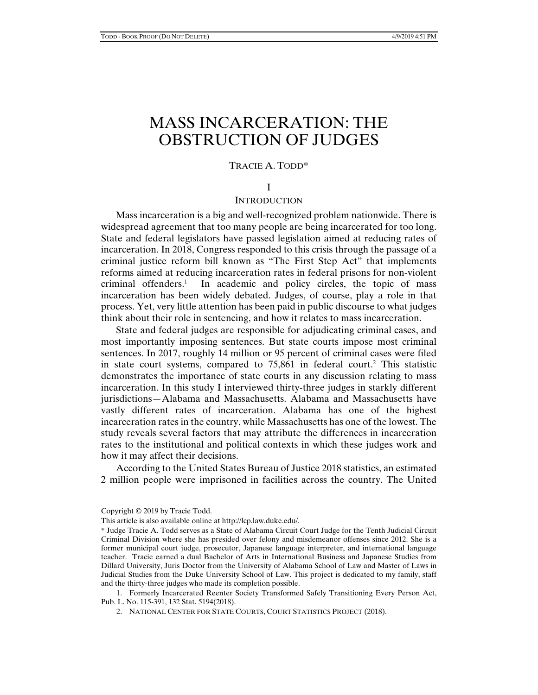# MASS INCARCERATION: THE OBSTRUCTION OF JUDGES

#### TRACIE A. TODD\*

#### I

## **INTRODUCTION**

Mass incarceration is a big and well-recognized problem nationwide. There is widespread agreement that too many people are being incarcerated for too long. State and federal legislators have passed legislation aimed at reducing rates of incarceration. In 2018, Congress responded to this crisis through the passage of a criminal justice reform bill known as "The First Step Act" that implements reforms aimed at reducing incarceration rates in federal prisons for non-violent criminal offenders.1 In academic and policy circles, the topic of mass incarceration has been widely debated. Judges, of course, play a role in that process. Yet, very little attention has been paid in public discourse to what judges think about their role in sentencing, and how it relates to mass incarceration.

State and federal judges are responsible for adjudicating criminal cases, and most importantly imposing sentences. But state courts impose most criminal sentences. In 2017, roughly 14 million or 95 percent of criminal cases were filed in state court systems, compared to  $75,861$  in federal court.<sup>2</sup> This statistic demonstrates the importance of state courts in any discussion relating to mass incarceration. In this study I interviewed thirty-three judges in starkly different jurisdictions—Alabama and Massachusetts. Alabama and Massachusetts have vastly different rates of incarceration. Alabama has one of the highest incarceration rates in the country, while Massachusetts has one of the lowest. The study reveals several factors that may attribute the differences in incarceration rates to the institutional and political contexts in which these judges work and how it may affect their decisions.

According to the United States Bureau of Justice 2018 statistics, an estimated 2 million people were imprisoned in facilities across the country. The United

Copyright © 2019 by Tracie Todd.

This article is also available online at http://lcp.law.duke.edu/.

<sup>\*</sup> Judge Tracie A. Todd serves as a State of Alabama Circuit Court Judge for the Tenth Judicial Circuit Criminal Division where she has presided over felony and misdemeanor offenses since 2012. She is a former municipal court judge, prosecutor, Japanese language interpreter, and international language teacher. Tracie earned a dual Bachelor of Arts in International Business and Japanese Studies from Dillard University, Juris Doctor from the University of Alabama School of Law and Master of Laws in Judicial Studies from the Duke University School of Law. This project is dedicated to my family, staff and the thirty-three judges who made its completion possible.

 <sup>1.</sup> Formerly Incarcerated Reenter Society Transformed Safely Transitioning Every Person Act, Pub. L. No. 115-391, 132 Stat. 5194(2018).

 <sup>2.</sup> NATIONAL CENTER FOR STATE COURTS, COURT STATISTICS PROJECT (2018).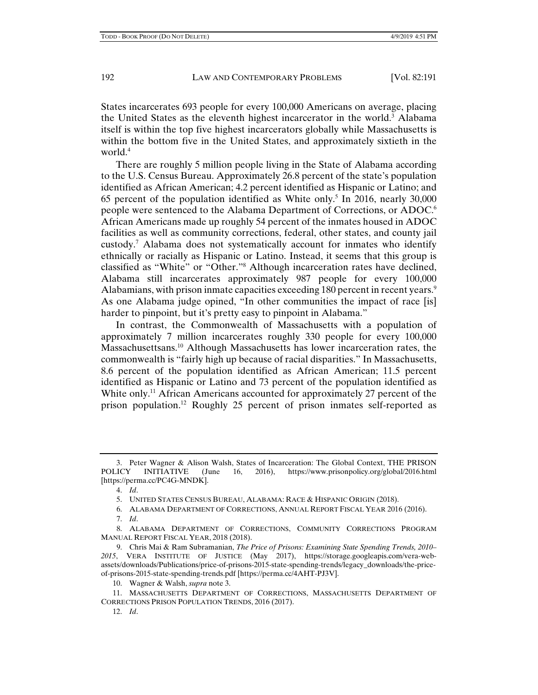States incarcerates 693 people for every 100,000 Americans on average, placing the United States as the eleventh highest incarcerator in the world.3 Alabama itself is within the top five highest incarcerators globally while Massachusetts is within the bottom five in the United States, and approximately sixtieth in the world.<sup>4</sup>

There are roughly 5 million people living in the State of Alabama according to the U.S. Census Bureau. Approximately 26.8 percent of the state's population identified as African American; 4.2 percent identified as Hispanic or Latino; and 65 percent of the population identified as White only.<sup>5</sup> In 2016, nearly 30,000 people were sentenced to the Alabama Department of Corrections, or ADOC.6 African Americans made up roughly 54 percent of the inmates housed in ADOC facilities as well as community corrections, federal, other states, and county jail custody.7 Alabama does not systematically account for inmates who identify ethnically or racially as Hispanic or Latino. Instead, it seems that this group is classified as "White" or "Other."8 Although incarceration rates have declined, Alabama still incarcerates approximately 987 people for every 100,000 Alabamians, with prison inmate capacities exceeding 180 percent in recent years.<sup>9</sup> As one Alabama judge opined, "In other communities the impact of race [is] harder to pinpoint, but it's pretty easy to pinpoint in Alabama."

In contrast, the Commonwealth of Massachusetts with a population of approximately 7 million incarcerates roughly 330 people for every 100,000 Massachusettsans.10 Although Massachusetts has lower incarceration rates, the commonwealth is "fairly high up because of racial disparities." In Massachusetts, 8.6 percent of the population identified as African American; 11.5 percent identified as Hispanic or Latino and 73 percent of the population identified as White only.<sup>11</sup> African Americans accounted for approximately 27 percent of the prison population.12 Roughly 25 percent of prison inmates self-reported as

 <sup>3.</sup> Peter Wagner & Alison Walsh, States of Incarceration: The Global Context, THE PRISON POLICY INITIATIVE (June 16, 2016), https://www.prisonpolicy.org/global/2016.html [https://perma.cc/PC4G-MNDK].

 <sup>4.</sup> *Id*.

 <sup>5.</sup> UNITED STATES CENSUS BUREAU, ALABAMA: RACE & HISPANIC ORIGIN (2018).

 <sup>6.</sup> ALABAMA DEPARTMENT OF CORRECTIONS, ANNUAL REPORT FISCAL YEAR 2016 (2016).

 <sup>7.</sup> *Id*.

 <sup>8.</sup> ALABAMA DEPARTMENT OF CORRECTIONS, COMMUNITY CORRECTIONS PROGRAM MANUAL REPORT FISCAL YEAR, 2018 (2018).

 <sup>9.</sup> Chris Mai & Ram Subramanian, *The Price of Prisons: Examining State Spending Trends, 2010– 2015*, VERA INSTITUTE OF JUSTICE (May 2017), https://storage.googleapis.com/vera-webassets/downloads/Publications/price-of-prisons-2015-state-spending-trends/legacy\_downloads/the-priceof-prisons-2015-state-spending-trends.pdf [https://perma.cc/4AHT-PJ3V].

 <sup>10.</sup> Wagner & Walsh, *supra* note 3.

 <sup>11.</sup> MASSACHUSETTS DEPARTMENT OF CORRECTIONS, MASSACHUSETTS DEPARTMENT OF CORRECTIONS PRISON POPULATION TRENDS, 2016 (2017).

 <sup>12.</sup> *Id*.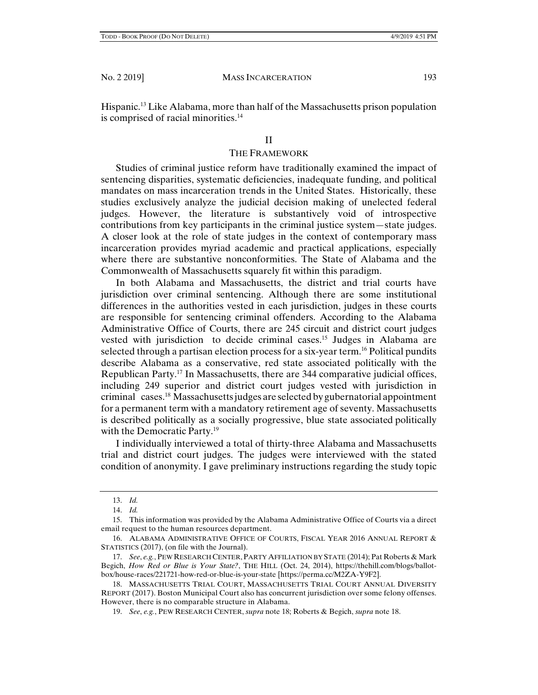Hispanic.13 Like Alabama, more than half of the Massachusetts prison population is comprised of racial minorities.<sup>14</sup>

#### II

#### THE FRAMEWORK

Studies of criminal justice reform have traditionally examined the impact of sentencing disparities, systematic deficiencies, inadequate funding, and political mandates on mass incarceration trends in the United States. Historically, these studies exclusively analyze the judicial decision making of unelected federal judges. However, the literature is substantively void of introspective contributions from key participants in the criminal justice system—state judges. A closer look at the role of state judges in the context of contemporary mass incarceration provides myriad academic and practical applications, especially where there are substantive nonconformities. The State of Alabama and the Commonwealth of Massachusetts squarely fit within this paradigm.

In both Alabama and Massachusetts, the district and trial courts have jurisdiction over criminal sentencing. Although there are some institutional differences in the authorities vested in each jurisdiction, judges in these courts are responsible for sentencing criminal offenders. According to the Alabama Administrative Office of Courts, there are 245 circuit and district court judges vested with jurisdiction to decide criminal cases.15 Judges in Alabama are selected through a partisan election process for a six-year term.16 Political pundits describe Alabama as a conservative, red state associated politically with the Republican Party.<sup>17</sup> In Massachusetts, there are  $344$  comparative judicial offices, including 249 superior and district court judges vested with jurisdiction in criminal cases.18 Massachusetts judges are selected by gubernatorial appointment for a permanent term with a mandatory retirement age of seventy. Massachusetts is described politically as a socially progressive, blue state associated politically with the Democratic Party.<sup>19</sup>

I individually interviewed a total of thirty-three Alabama and Massachusetts trial and district court judges. The judges were interviewed with the stated condition of anonymity. I gave preliminary instructions regarding the study topic

 <sup>13.</sup> *Id.* 

 <sup>14.</sup> *Id.*

<sup>15.</sup> This information was provided by the Alabama Administrative Office of Courts via a direct email request to the human resources department.

 <sup>16.</sup> ALABAMA ADMINISTRATIVE OFFICE OF COURTS, FISCAL YEAR 2016 ANNUAL REPORT & STATISTICS (2017), (on file with the Journal).

 <sup>17.</sup> *See*, *e.g.*, PEW RESEARCH CENTER, PARTY AFFILIATION BY STATE (2014); Pat Roberts & Mark Begich, *How Red or Blue is Your State?*, THE HILL (Oct. 24, 2014), https://thehill.com/blogs/ballotbox/house-races/221721-how-red-or-blue-is-your-state [https://perma.cc/M2ZA-Y9F2].

 <sup>18.</sup> MASSACHUSETTS TRIAL COURT, MASSACHUSETTS TRIAL COURT ANNUAL DIVERSITY REPORT (2017). Boston Municipal Court also has concurrent jurisdiction over some felony offenses. However, there is no comparable structure in Alabama.

 <sup>19.</sup> *See*, *e.g.*, PEW RESEARCH CENTER, *supra* note 18; Roberts & Begich, *supra* note 18.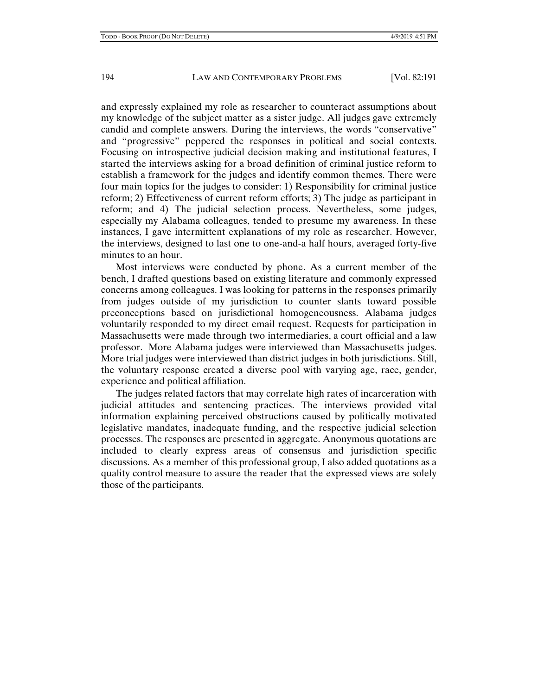and expressly explained my role as researcher to counteract assumptions about my knowledge of the subject matter as a sister judge. All judges gave extremely candid and complete answers. During the interviews, the words "conservative" and "progressive" peppered the responses in political and social contexts. Focusing on introspective judicial decision making and institutional features, I started the interviews asking for a broad definition of criminal justice reform to establish a framework for the judges and identify common themes. There were four main topics for the judges to consider: 1) Responsibility for criminal justice reform; 2) Effectiveness of current reform efforts; 3) The judge as participant in reform; and 4) The judicial selection process. Nevertheless, some judges, especially my Alabama colleagues, tended to presume my awareness. In these instances, I gave intermittent explanations of my role as researcher. However, the interviews, designed to last one to one-and-a half hours, averaged forty-five minutes to an hour.

Most interviews were conducted by phone. As a current member of the bench, I drafted questions based on existing literature and commonly expressed concerns among colleagues. I was looking for patterns in the responses primarily from judges outside of my jurisdiction to counter slants toward possible preconceptions based on jurisdictional homogeneousness. Alabama judges voluntarily responded to my direct email request. Requests for participation in Massachusetts were made through two intermediaries, a court official and a law professor. More Alabama judges were interviewed than Massachusetts judges. More trial judges were interviewed than district judges in both jurisdictions. Still, the voluntary response created a diverse pool with varying age, race, gender, experience and political affiliation.

The judges related factors that may correlate high rates of incarceration with judicial attitudes and sentencing practices. The interviews provided vital information explaining perceived obstructions caused by politically motivated legislative mandates, inadequate funding, and the respective judicial selection processes. The responses are presented in aggregate. Anonymous quotations are included to clearly express areas of consensus and jurisdiction specific discussions. As a member of this professional group, I also added quotations as a quality control measure to assure the reader that the expressed views are solely those of the participants.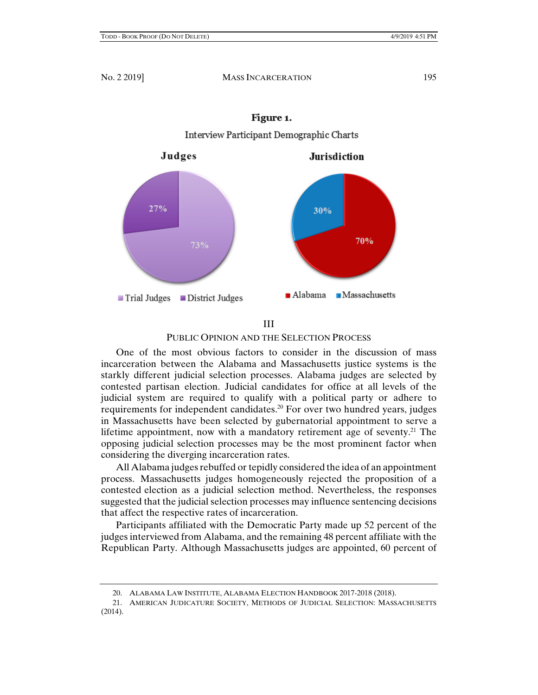

## Figure 1.

## III

#### PUBLIC OPINION AND THE SELECTION PROCESS

One of the most obvious factors to consider in the discussion of mass incarceration between the Alabama and Massachusetts justice systems is the starkly different judicial selection processes. Alabama judges are selected by contested partisan election. Judicial candidates for office at all levels of the judicial system are required to qualify with a political party or adhere to requirements for independent candidates.20 For over two hundred years, judges in Massachusetts have been selected by gubernatorial appointment to serve a lifetime appointment, now with a mandatory retirement age of seventy.<sup>21</sup> The opposing judicial selection processes may be the most prominent factor when considering the diverging incarceration rates.

All Alabama judges rebuffed or tepidly considered the idea of an appointment process. Massachusetts judges homogeneously rejected the proposition of a contested election as a judicial selection method. Nevertheless, the responses suggested that the judicial selection processes may influence sentencing decisions that affect the respective rates of incarceration.

Participants affiliated with the Democratic Party made up 52 percent of the judges interviewed from Alabama, and the remaining 48 percent affiliate with the Republican Party. Although Massachusetts judges are appointed, 60 percent of

 <sup>20.</sup> ALABAMA LAW INSTITUTE, ALABAMA ELECTION HANDBOOK 2017-2018 (2018).

 <sup>21.</sup> AMERICAN JUDICATURE SOCIETY, METHODS OF JUDICIAL SELECTION: MASSACHUSETTS (2014).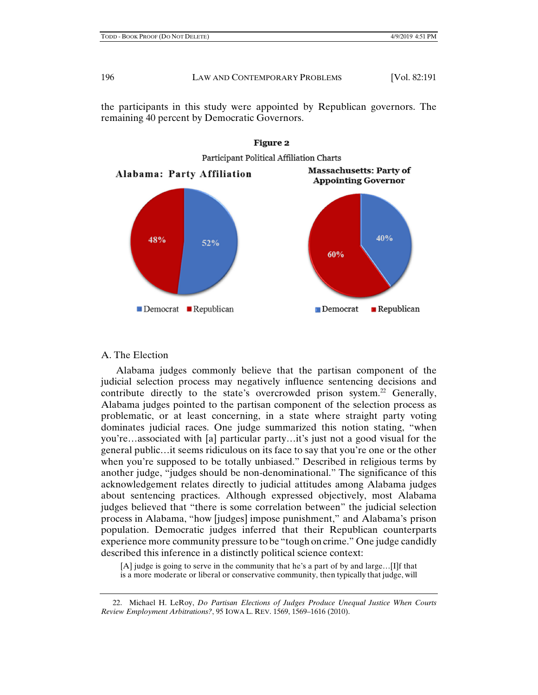the participants in this study were appointed by Republican governors. The remaining 40 percent by Democratic Governors.



# **Figure 2**

## A. The Election

Alabama judges commonly believe that the partisan component of the judicial selection process may negatively influence sentencing decisions and contribute directly to the state's overcrowded prison system.<sup>22</sup> Generally, Alabama judges pointed to the partisan component of the selection process as problematic, or at least concerning, in a state where straight party voting dominates judicial races. One judge summarized this notion stating, "when you're…associated with [a] particular party…it's just not a good visual for the general public…it seems ridiculous on its face to say that you're one or the other when you're supposed to be totally unbiased." Described in religious terms by another judge, "judges should be non-denominational." The significance of this acknowledgement relates directly to judicial attitudes among Alabama judges about sentencing practices. Although expressed objectively, most Alabama judges believed that "there is some correlation between" the judicial selection process in Alabama, "how [judges] impose punishment," and Alabama's prison population. Democratic judges inferred that their Republican counterparts experience more community pressure to be "tough on crime." One judge candidly described this inference in a distinctly political science context:

[A] judge is going to serve in the community that he's a part of by and large…[I]f that is a more moderate or liberal or conservative community, then typically that judge, will

 22. Michael H. LeRoy, *Do Partisan Elections of Judges Produce Unequal Justice When Courts Review Employment Arbitrations?*, 95 IOWA L. REV. 1569, 1569–1616 (2010).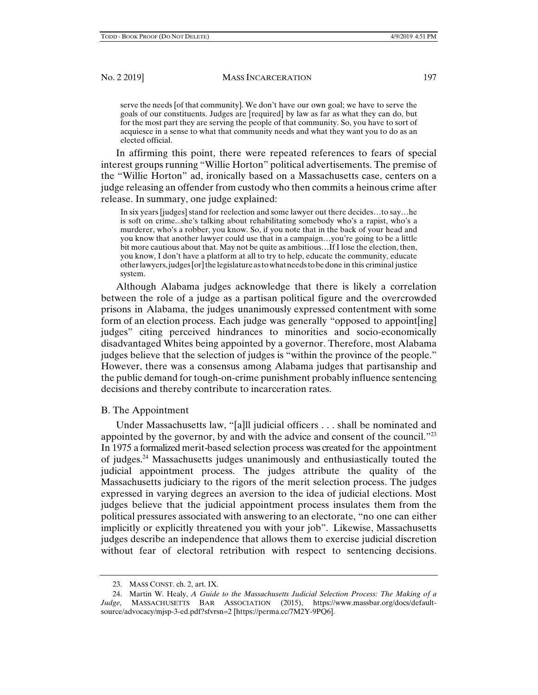serve the needs [of that community]. We don't have our own goal; we have to serve the goals of our constituents. Judges are [required] by law as far as what they can do, but for the most part they are serving the people of that community. So, you have to sort of acquiesce in a sense to what that community needs and what they want you to do as an elected official.

In affirming this point, there were repeated references to fears of special interest groups running "Willie Horton" political advertisements. The premise of the "Willie Horton" ad, ironically based on a Massachusetts case, centers on a judge releasing an offender from custody who then commits a heinous crime after release. In summary, one judge explained:

In six years [judges] stand for reelection and some lawyer out there decides…to say…he is soft on crime...she's talking about rehabilitating somebody who's a rapist, who's a murderer, who's a robber, you know. So, if you note that in the back of your head and you know that another lawyer could use that in a campaign…you're going to be a little bit more cautious about that. May not be quite as ambitious…If I lose the election, then, you know, I don't have a platform at all to try to help, educate the community, educate other lawyers, judges [or] the legislature as to what needs to be done in this criminal justice system.

Although Alabama judges acknowledge that there is likely a correlation between the role of a judge as a partisan political figure and the overcrowded prisons in Alabama, the judges unanimously expressed contentment with some form of an election process. Each judge was generally "opposed to appoint[ing] judges" citing perceived hindrances to minorities and socio-economically disadvantaged Whites being appointed by a governor. Therefore, most Alabama judges believe that the selection of judges is "within the province of the people." However, there was a consensus among Alabama judges that partisanship and the public demand for tough-on-crime punishment probably influence sentencing decisions and thereby contribute to incarceration rates.

## B. The Appointment

Under Massachusetts law, "[a]ll judicial officers . . . shall be nominated and appointed by the governor, by and with the advice and consent of the council."23 In 1975 a formalized merit-based selection process was created for the appointment of judges.24 Massachusetts judges unanimously and enthusiastically touted the judicial appointment process. The judges attribute the quality of the Massachusetts judiciary to the rigors of the merit selection process. The judges expressed in varying degrees an aversion to the idea of judicial elections. Most judges believe that the judicial appointment process insulates them from the political pressures associated with answering to an electorate, "no one can either implicitly or explicitly threatened you with your job". Likewise, Massachusetts judges describe an independence that allows them to exercise judicial discretion without fear of electoral retribution with respect to sentencing decisions.

 <sup>23.</sup> MASS CONST. ch. 2, art. IX.

 <sup>24.</sup> Martin W. Healy, *A Guide to the Massachusetts Judicial Selection Process: The Making of a Judge*, MASSACHUSETTS BAR ASSOCIATION (2015), https://www.massbar.org/docs/defaultsource/advocacy/mjsp-3-ed.pdf?sfvrsn=2 [https://perma.cc/7M2Y-9PQ6].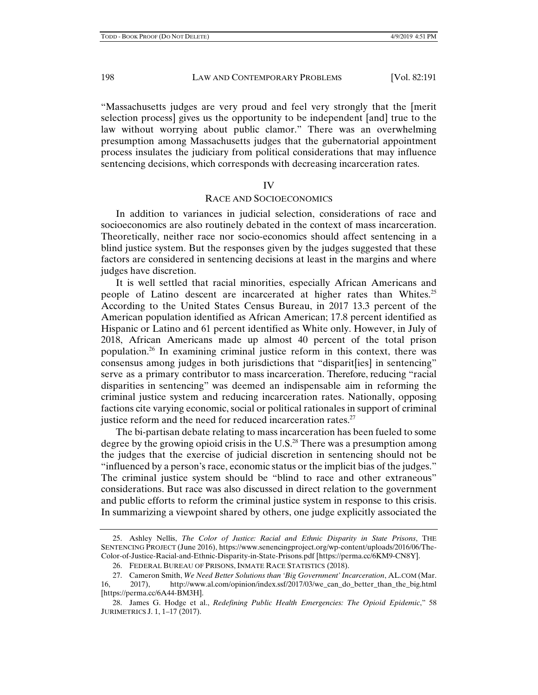"Massachusetts judges are very proud and feel very strongly that the [merit selection process] gives us the opportunity to be independent [and] true to the law without worrying about public clamor." There was an overwhelming presumption among Massachusetts judges that the gubernatorial appointment process insulates the judiciary from political considerations that may influence sentencing decisions, which corresponds with decreasing incarceration rates.

#### IV

#### RACE AND SOCIOECONOMICS

In addition to variances in judicial selection, considerations of race and socioeconomics are also routinely debated in the context of mass incarceration. Theoretically, neither race nor socio-economics should affect sentencing in a blind justice system. But the responses given by the judges suggested that these factors are considered in sentencing decisions at least in the margins and where judges have discretion.

It is well settled that racial minorities, especially African Americans and people of Latino descent are incarcerated at higher rates than Whites.25 According to the United States Census Bureau, in 2017 13.3 percent of the American population identified as African American; 17.8 percent identified as Hispanic or Latino and 61 percent identified as White only. However, in July of 2018, African Americans made up almost 40 percent of the total prison population.26 In examining criminal justice reform in this context, there was consensus among judges in both jurisdictions that "disparit[ies] in sentencing" serve as a primary contributor to mass incarceration. Therefore, reducing "racial disparities in sentencing" was deemed an indispensable aim in reforming the criminal justice system and reducing incarceration rates. Nationally, opposing factions cite varying economic, social or political rationales in support of criminal justice reform and the need for reduced incarceration rates. $27$ 

The bi-partisan debate relating to mass incarceration has been fueled to some degree by the growing opioid crisis in the U.S. $^{28}$  There was a presumption among the judges that the exercise of judicial discretion in sentencing should not be "influenced by a person's race, economic status or the implicit bias of the judges." The criminal justice system should be "blind to race and other extraneous" considerations. But race was also discussed in direct relation to the government and public efforts to reform the criminal justice system in response to this crisis. In summarizing a viewpoint shared by others, one judge explicitly associated the

 <sup>25.</sup> Ashley Nellis, *The Color of Justice: Racial and Ethnic Disparity in State Prisons*, THE SENTENCING PROJECT (June 2016), https://www.senencingproject.org/wp-content/uploads/2016/06/The-Color-of-Justice-Racial-and-Ethnic-Disparity-in-State-Prisons.pdf [https://perma.cc/6KM9-CN8Y].

 <sup>26.</sup> FEDERAL BUREAU OF PRISONS, INMATE RACE STATISTICS (2018).

 <sup>27.</sup> Cameron Smith, *We Need Better Solutions than 'Big Government' Incarceration*, AL.COM (Mar. 16, 2017), http://www.al.com/opinion/index.ssf/2017/03/we\_can\_do\_better\_than\_the\_big.html [https://perma.cc/6A44-BM3H].

 <sup>28.</sup> James G. Hodge et al., *Redefining Public Health Emergencies: The Opioid Epidemic*," 58 JURIMETRICS J. 1, 1–17 (2017).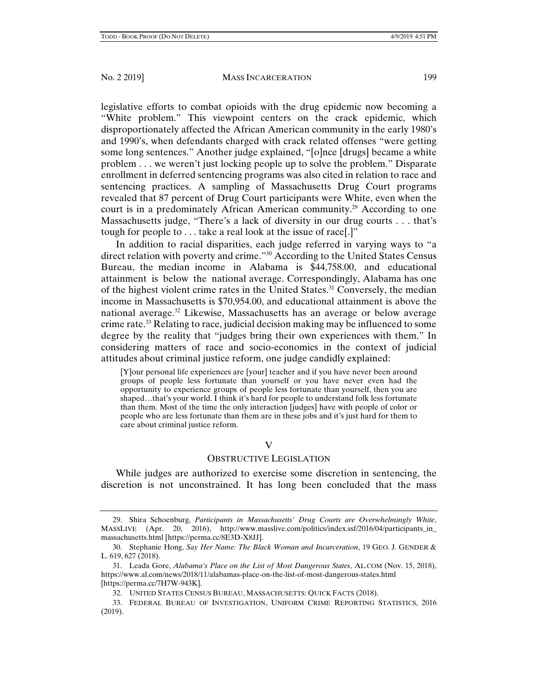legislative efforts to combat opioids with the drug epidemic now becoming a "White problem." This viewpoint centers on the crack epidemic, which disproportionately affected the African American community in the early 1980's and 1990's, when defendants charged with crack related offenses "were getting some long sentences." Another judge explained, "[o]nce [drugs] became a white problem . . . we weren't just locking people up to solve the problem." Disparate enrollment in deferred sentencing programs was also cited in relation to race and sentencing practices. A sampling of Massachusetts Drug Court programs revealed that 87 percent of Drug Court participants were White, even when the court is in a predominately African American community.<sup>29</sup> According to one Massachusetts judge, "There's a lack of diversity in our drug courts . . . that's tough for people to . . . take a real look at the issue of race[.]"

In addition to racial disparities, each judge referred in varying ways to "a direct relation with poverty and crime."30 According to the United States Census Bureau, the median income in Alabama is \$44,758.00, and educational attainment is below the national average. Correspondingly, Alabama has one of the highest violent crime rates in the United States.<sup>31</sup> Conversely, the median income in Massachusetts is \$70,954.00, and educational attainment is above the national average.<sup>32</sup> Likewise, Massachusetts has an average or below average crime rate.<sup>33</sup> Relating to race, judicial decision making may be influenced to some degree by the reality that "judges bring their own experiences with them." In considering matters of race and socio-economics in the context of judicial attitudes about criminal justice reform, one judge candidly explained:

[Y]our personal life experiences are [your] teacher and if you have never been around groups of people less fortunate than yourself or you have never even had the opportunity to experience groups of people less fortunate than yourself, then you are shaped…that's your world. I think it's hard for people to understand folk less fortunate than them. Most of the time the only interaction [judges] have with people of color or people who are less fortunate than them are in these jobs and it's just hard for them to care about criminal justice reform.

#### V

#### OBSTRUCTIVE LEGISLATION

While judges are authorized to exercise some discretion in sentencing, the discretion is not unconstrained. It has long been concluded that the mass

 33. FEDERAL BUREAU OF INVESTIGATION, UNIFORM CRIME REPORTING STATISTICS, 2016 (2019).

 <sup>29.</sup> Shira Schoenburg, *Participants in Massachusetts' Drug Courts are Overwhelmingly White*, MASSLIVE (Apr. 20, 2016), http://www.masslive.com/politics/index.ssf/2016/04/participants\_in\_ massachusetts.html [https://perma.cc/8E3D-X8JJ].

 <sup>30.</sup> Stephanie Hong, *Say Her Name: The Black Woman and Incarceration*, 19 GEO. J. GENDER & L. 619, 627 (2018).

 <sup>31.</sup> Leada Gore, *Alabama's Place on the List of Most Dangerous States*, AL.COM (Nov. 15, 2018), https://www.al.com/news/2018/11/alabamas-place-on-the-list-of-most-dangerous-states.html [https://perma.cc/7H7W-943K].

 <sup>32.</sup> UNITED STATES CENSUS BUREAU, MASSACHUSETTS: QUICK FACTS (2018).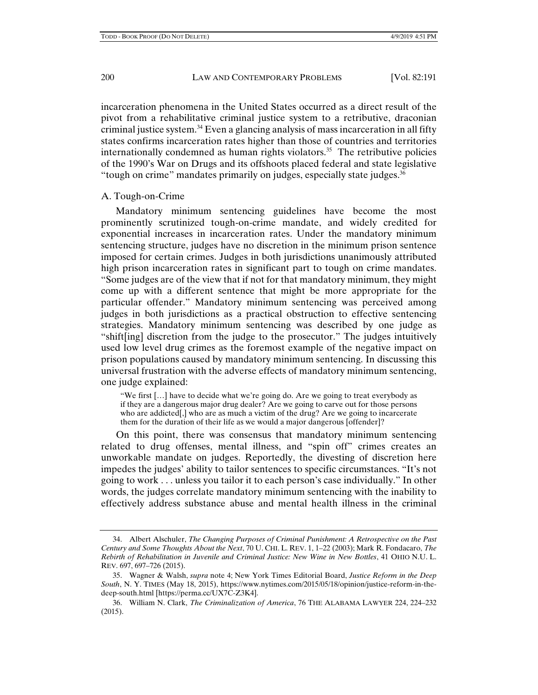incarceration phenomena in the United States occurred as a direct result of the pivot from a rehabilitative criminal justice system to a retributive, draconian criminal justice system.34 Even a glancing analysis of mass incarceration in all fifty states confirms incarceration rates higher than those of countries and territories internationally condemned as human rights violators.<sup>35</sup> The retributive policies of the 1990's War on Drugs and its offshoots placed federal and state legislative "tough on crime" mandates primarily on judges, especially state judges. $36$ 

#### A. Tough-on-Crime

Mandatory minimum sentencing guidelines have become the most prominently scrutinized tough-on-crime mandate, and widely credited for exponential increases in incarceration rates. Under the mandatory minimum sentencing structure, judges have no discretion in the minimum prison sentence imposed for certain crimes. Judges in both jurisdictions unanimously attributed high prison incarceration rates in significant part to tough on crime mandates. "Some judges are of the view that if not for that mandatory minimum, they might come up with a different sentence that might be more appropriate for the particular offender." Mandatory minimum sentencing was perceived among judges in both jurisdictions as a practical obstruction to effective sentencing strategies. Mandatory minimum sentencing was described by one judge as "shift[ing] discretion from the judge to the prosecutor." The judges intuitively used low level drug crimes as the foremost example of the negative impact on prison populations caused by mandatory minimum sentencing. In discussing this universal frustration with the adverse effects of mandatory minimum sentencing, one judge explained:

"We first […] have to decide what we're going do. Are we going to treat everybody as if they are a dangerous major drug dealer? Are we going to carve out for those persons who are addicted. Who are as much a victim of the drug? Are we going to incarcerate them for the duration of their life as we would a major dangerous [offender]?

On this point, there was consensus that mandatory minimum sentencing related to drug offenses, mental illness, and "spin off" crimes creates an unworkable mandate on judges. Reportedly, the divesting of discretion here impedes the judges' ability to tailor sentences to specific circumstances. "It's not going to work . . . unless you tailor it to each person's case individually." In other words, the judges correlate mandatory minimum sentencing with the inability to effectively address substance abuse and mental health illness in the criminal

 <sup>34.</sup> Albert Alschuler, *The Changing Purposes of Criminal Punishment: A Retrospective on the Past Century and Some Thoughts About the Next*, 70 U. CHI. L. REV. 1, 1–22 (2003); Mark R. Fondacaro, *The Rebirth of Rehabilitation in Juvenile and Criminal Justice: New Wine in New Bottles*, 41 OHIO N.U. L. REV. 697, 697–726 (2015).

 <sup>35.</sup> Wagner & Walsh, *supra* note 4; New York Times Editorial Board, *Justice Reform in the Deep South*, N. Y. TIMES (May 18, 2015), https://www.nytimes.com/2015/05/18/opinion/justice-reform-in-thedeep-south.html [https://perma.cc/UX7C-Z3K4].

 <sup>36.</sup> William N. Clark, *The Criminalization of America*, 76 THE ALABAMA LAWYER 224, 224–232 (2015).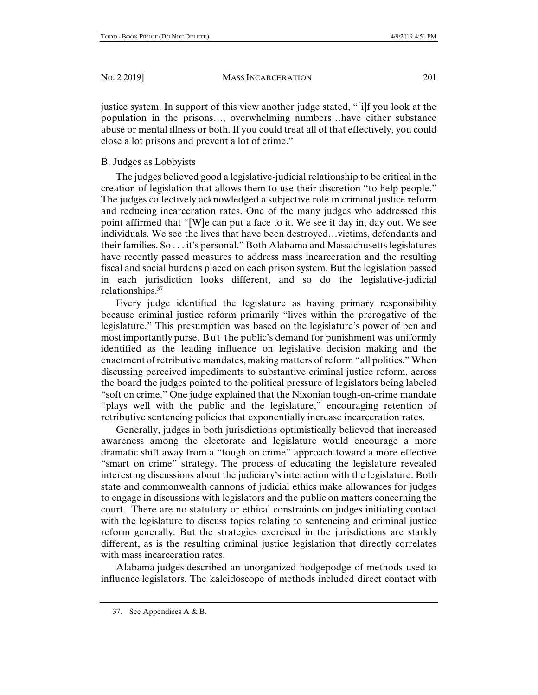justice system. In support of this view another judge stated, "[i]f you look at the population in the prisons…, overwhelming numbers…have either substance abuse or mental illness or both. If you could treat all of that effectively, you could close a lot prisons and prevent a lot of crime."

# B. Judges as Lobbyists

The judges believed good a legislative-judicial relationship to be critical in the creation of legislation that allows them to use their discretion "to help people." The judges collectively acknowledged a subjective role in criminal justice reform and reducing incarceration rates. One of the many judges who addressed this point affirmed that "[W]e can put a face to it. We see it day in, day out. We see individuals. We see the lives that have been destroyed…victims, defendants and their families. So . . . it's personal." Both Alabama and Massachusetts legislatures have recently passed measures to address mass incarceration and the resulting fiscal and social burdens placed on each prison system. But the legislation passed in each jurisdiction looks different, and so do the legislative-judicial relationships.37

Every judge identified the legislature as having primary responsibility because criminal justice reform primarily "lives within the prerogative of the legislature." This presumption was based on the legislature's power of pen and most importantly purse. But the public's demand for punishment was uniformly identified as the leading influence on legislative decision making and the enactment of retributive mandates, making matters of reform "all politics." When discussing perceived impediments to substantive criminal justice reform, across the board the judges pointed to the political pressure of legislators being labeled "soft on crime." One judge explained that the Nixonian tough-on-crime mandate "plays well with the public and the legislature," encouraging retention of retributive sentencing policies that exponentially increase incarceration rates.

Generally, judges in both jurisdictions optimistically believed that increased awareness among the electorate and legislature would encourage a more dramatic shift away from a "tough on crime" approach toward a more effective "smart on crime" strategy. The process of educating the legislature revealed interesting discussions about the judiciary's interaction with the legislature. Both state and commonwealth cannons of judicial ethics make allowances for judges to engage in discussions with legislators and the public on matters concerning the court. There are no statutory or ethical constraints on judges initiating contact with the legislature to discuss topics relating to sentencing and criminal justice reform generally. But the strategies exercised in the jurisdictions are starkly different, as is the resulting criminal justice legislation that directly correlates with mass incarceration rates.

Alabama judges described an unorganized hodgepodge of methods used to influence legislators. The kaleidoscope of methods included direct contact with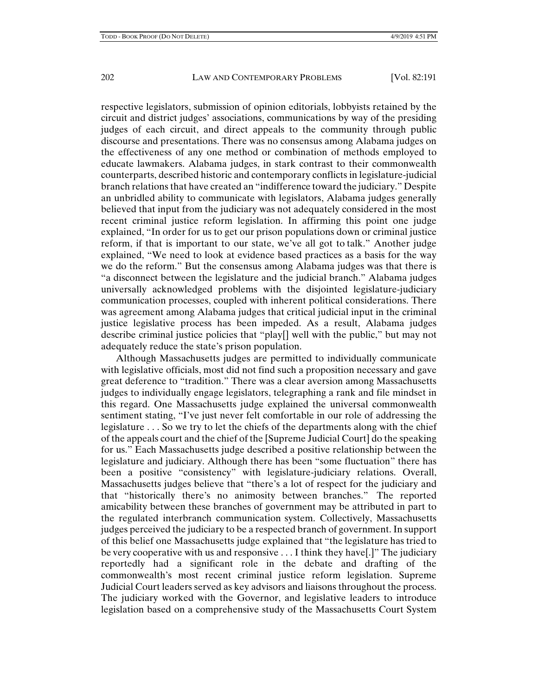respective legislators, submission of opinion editorials, lobbyists retained by the circuit and district judges' associations, communications by way of the presiding judges of each circuit, and direct appeals to the community through public discourse and presentations. There was no consensus among Alabama judges on the effectiveness of any one method or combination of methods employed to educate lawmakers. Alabama judges, in stark contrast to their commonwealth counterparts, described historic and contemporary conflicts in legislature-judicial branch relations that have created an "indifference toward the judiciary." Despite an unbridled ability to communicate with legislators, Alabama judges generally believed that input from the judiciary was not adequately considered in the most recent criminal justice reform legislation. In affirming this point one judge explained, "In order for us to get our prison populations down or criminal justice reform, if that is important to our state, we've all got to talk." Another judge explained, "We need to look at evidence based practices as a basis for the way we do the reform." But the consensus among Alabama judges was that there is "a disconnect between the legislature and the judicial branch." Alabama judges universally acknowledged problems with the disjointed legislature-judiciary communication processes, coupled with inherent political considerations. There was agreement among Alabama judges that critical judicial input in the criminal justice legislative process has been impeded. As a result, Alabama judges describe criminal justice policies that "play[] well with the public," but may not adequately reduce the state's prison population.

Although Massachusetts judges are permitted to individually communicate with legislative officials, most did not find such a proposition necessary and gave great deference to "tradition." There was a clear aversion among Massachusetts judges to individually engage legislators, telegraphing a rank and file mindset in this regard. One Massachusetts judge explained the universal commonwealth sentiment stating, "I've just never felt comfortable in our role of addressing the legislature . . . So we try to let the chiefs of the departments along with the chief of the appeals court and the chief of the [Supreme Judicial Court] do the speaking for us." Each Massachusetts judge described a positive relationship between the legislature and judiciary. Although there has been "some fluctuation" there has been a positive "consistency" with legislature-judiciary relations. Overall, Massachusetts judges believe that "there's a lot of respect for the judiciary and that "historically there's no animosity between branches." The reported amicability between these branches of government may be attributed in part to the regulated interbranch communication system. Collectively, Massachusetts judges perceived the judiciary to be a respected branch of government. In support of this belief one Massachusetts judge explained that "the legislature has tried to be very cooperative with us and responsive . . . I think they have[.]" The judiciary reportedly had a significant role in the debate and drafting of the commonwealth's most recent criminal justice reform legislation. Supreme Judicial Court leaders served as key advisors and liaisons throughout the process. The judiciary worked with the Governor, and legislative leaders to introduce legislation based on a comprehensive study of the Massachusetts Court System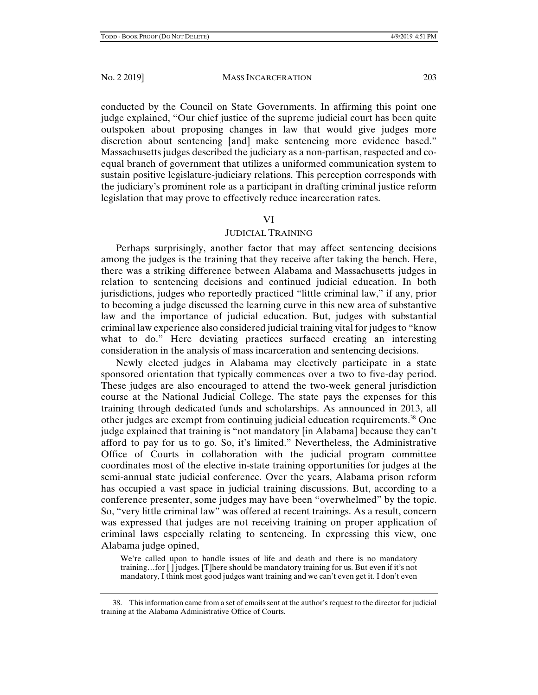conducted by the Council on State Governments. In affirming this point one judge explained, "Our chief justice of the supreme judicial court has been quite outspoken about proposing changes in law that would give judges more discretion about sentencing [and] make sentencing more evidence based." Massachusetts judges described the judiciary as a non-partisan, respected and coequal branch of government that utilizes a uniformed communication system to sustain positive legislature-judiciary relations. This perception corresponds with the judiciary's prominent role as a participant in drafting criminal justice reform legislation that may prove to effectively reduce incarceration rates.

#### VI

#### JUDICIAL TRAINING

Perhaps surprisingly, another factor that may affect sentencing decisions among the judges is the training that they receive after taking the bench. Here, there was a striking difference between Alabama and Massachusetts judges in relation to sentencing decisions and continued judicial education. In both jurisdictions, judges who reportedly practiced "little criminal law," if any, prior to becoming a judge discussed the learning curve in this new area of substantive law and the importance of judicial education. But, judges with substantial criminal law experience also considered judicial training vital for judges to "know what to do." Here deviating practices surfaced creating an interesting consideration in the analysis of mass incarceration and sentencing decisions.

Newly elected judges in Alabama may electively participate in a state sponsored orientation that typically commences over a two to five-day period. These judges are also encouraged to attend the two-week general jurisdiction course at the National Judicial College. The state pays the expenses for this training through dedicated funds and scholarships. As announced in 2013, all other judges are exempt from continuing judicial education requirements.38 One judge explained that training is "not mandatory [in Alabama] because they can't afford to pay for us to go. So, it's limited." Nevertheless, the Administrative Office of Courts in collaboration with the judicial program committee coordinates most of the elective in-state training opportunities for judges at the semi-annual state judicial conference. Over the years, Alabama prison reform has occupied a vast space in judicial training discussions. But, according to a conference presenter, some judges may have been "overwhelmed" by the topic. So, "very little criminal law" was offered at recent trainings. As a result, concern was expressed that judges are not receiving training on proper application of criminal laws especially relating to sentencing. In expressing this view, one Alabama judge opined,

We're called upon to handle issues of life and death and there is no mandatory training…for [ ] judges. [T]here should be mandatory training for us. But even if it's not mandatory, I think most good judges want training and we can't even get it. I don't even

 <sup>38.</sup> This information came from a set of emails sent at the author's request to the director for judicial training at the Alabama Administrative Office of Courts.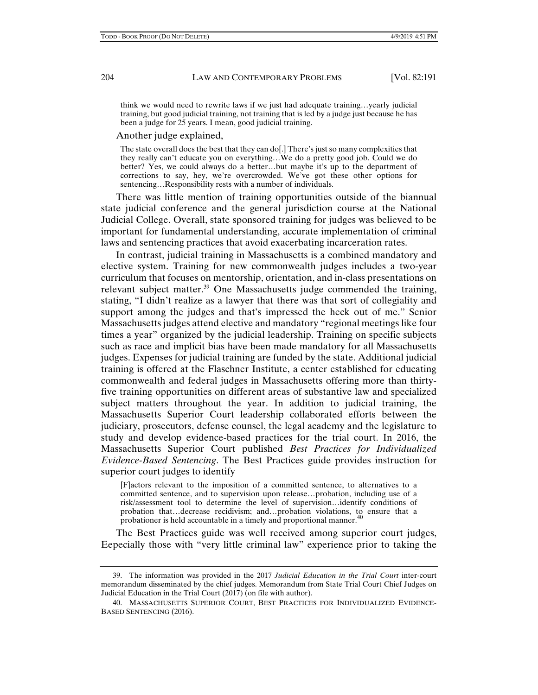think we would need to rewrite laws if we just had adequate training…yearly judicial training, but good judicial training, not training that is led by a judge just because he has been a judge for 25 years. I mean, good judicial training.

Another judge explained,

The state overall does the best that they can do[.] There's just so many complexities that they really can't educate you on everything…We do a pretty good job. Could we do better? Yes, we could always do a better...but maybe it's up to the department of corrections to say, hey, we're overcrowded. We've got these other options for sentencing…Responsibility rests with a number of individuals.

There was little mention of training opportunities outside of the biannual state judicial conference and the general jurisdiction course at the National Judicial College. Overall, state sponsored training for judges was believed to be important for fundamental understanding, accurate implementation of criminal laws and sentencing practices that avoid exacerbating incarceration rates.

In contrast, judicial training in Massachusetts is a combined mandatory and elective system. Training for new commonwealth judges includes a two-year curriculum that focuses on mentorship, orientation, and in-class presentations on relevant subject matter.<sup>39</sup> One Massachusetts judge commended the training, stating, "I didn't realize as a lawyer that there was that sort of collegiality and support among the judges and that's impressed the heck out of me." Senior Massachusetts judges attend elective and mandatory "regional meetings like four times a year" organized by the judicial leadership. Training on specific subjects such as race and implicit bias have been made mandatory for all Massachusetts judges. Expenses for judicial training are funded by the state. Additional judicial training is offered at the Flaschner Institute, a center established for educating commonwealth and federal judges in Massachusetts offering more than thirtyfive training opportunities on different areas of substantive law and specialized subject matters throughout the year. In addition to judicial training, the Massachusetts Superior Court leadership collaborated efforts between the judiciary, prosecutors, defense counsel, the legal academy and the legislature to study and develop evidence-based practices for the trial court. In 2016, the Massachusetts Superior Court published *Best Practices for Individualized Evidence-Based Sentencing*. The Best Practices guide provides instruction for superior court judges to identify

[F]actors relevant to the imposition of a committed sentence, to alternatives to a committed sentence, and to supervision upon release…probation, including use of a risk/assessment tool to determine the level of supervision…identify conditions of probation that…decrease recidivism; and…probation violations, to ensure that a probationer is held accountable in a timely and proportional manner.<sup>40</sup>

The Best Practices guide was well received among superior court judges, Eepecially those with "very little criminal law" experience prior to taking the

 <sup>39.</sup> The information was provided in the 2017 *Judicial Education in the Trial Court* inter-court memorandum disseminated by the chief judges. Memorandum from State Trial Court Chief Judges on Judicial Education in the Trial Court (2017) (on file with author).

 <sup>40.</sup> MASSACHUSETTS SUPERIOR COURT, BEST PRACTICES FOR INDIVIDUALIZED EVIDENCE-BASED SENTENCING (2016).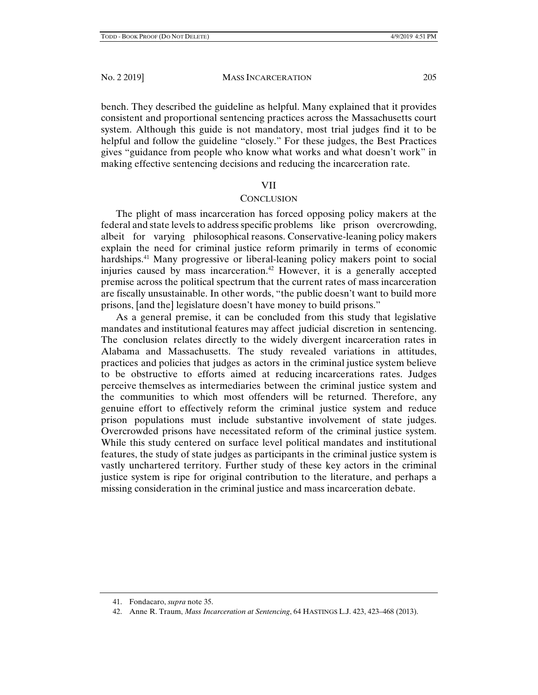bench. They described the guideline as helpful. Many explained that it provides consistent and proportional sentencing practices across the Massachusetts court system. Although this guide is not mandatory, most trial judges find it to be helpful and follow the guideline "closely." For these judges, the Best Practices gives "guidance from people who know what works and what doesn't work" in making effective sentencing decisions and reducing the incarceration rate.

### VII

#### **CONCLUSION**

The plight of mass incarceration has forced opposing policy makers at the federal and state levels to address specific problems like prison overcrowding, albeit for varying philosophical reasons. Conservative-leaning policy makers explain the need for criminal justice reform primarily in terms of economic hardships.<sup>41</sup> Many progressive or liberal-leaning policy makers point to social injuries caused by mass incarceration.<sup>42</sup> However, it is a generally accepted premise across the political spectrum that the current rates of mass incarceration are fiscally unsustainable. In other words, "the public doesn't want to build more prisons, [and the] legislature doesn't have money to build prisons."

As a general premise, it can be concluded from this study that legislative mandates and institutional features may affect judicial discretion in sentencing. The conclusion relates directly to the widely divergent incarceration rates in Alabama and Massachusetts. The study revealed variations in attitudes, practices and policies that judges as actors in the criminal justice system believe to be obstructive to efforts aimed at reducing incarcerations rates. Judges perceive themselves as intermediaries between the criminal justice system and the communities to which most offenders will be returned. Therefore, any genuine effort to effectively reform the criminal justice system and reduce prison populations must include substantive involvement of state judges. Overcrowded prisons have necessitated reform of the criminal justice system. While this study centered on surface level political mandates and institutional features, the study of state judges as participants in the criminal justice system is vastly unchartered territory. Further study of these key actors in the criminal justice system is ripe for original contribution to the literature, and perhaps a missing consideration in the criminal justice and mass incarceration debate.

 <sup>41.</sup> Fondacaro, *supra* note 35.

 <sup>42.</sup> Anne R. Traum, *Mass Incarceration at Sentencing*, 64 HASTINGS L.J. 423, 423–468 (2013).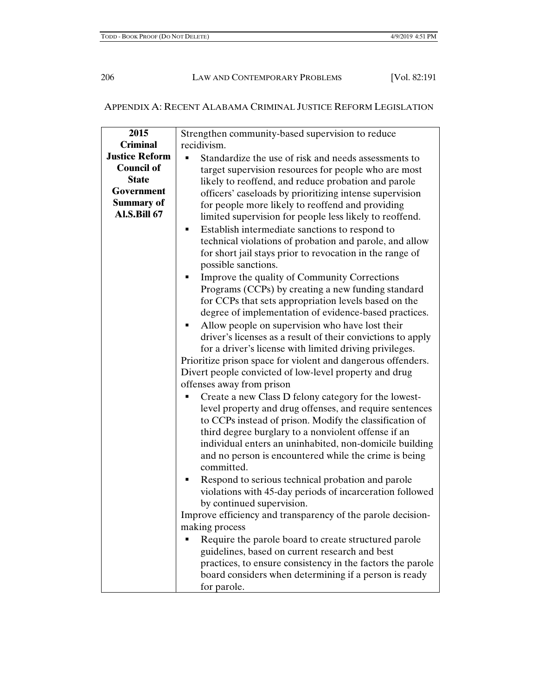# APPENDIX A: RECENT ALABAMA CRIMINAL JUSTICE REFORM LEGISLATION

| 2015                  | Strengthen community-based supervision to reduce                                                              |
|-----------------------|---------------------------------------------------------------------------------------------------------------|
| <b>Criminal</b>       | recidivism.                                                                                                   |
| <b>Justice Reform</b> | Standardize the use of risk and needs assessments to                                                          |
| <b>Council of</b>     | target supervision resources for people who are most                                                          |
| <b>State</b>          | likely to reoffend, and reduce probation and parole                                                           |
| Government            | officers' caseloads by prioritizing intense supervision                                                       |
| <b>Summary of</b>     | for people more likely to reoffend and providing                                                              |
| <b>Al.S.Bill 67</b>   | limited supervision for people less likely to reoffend.                                                       |
|                       | Establish intermediate sanctions to respond to<br>٠                                                           |
|                       | technical violations of probation and parole, and allow                                                       |
|                       | for short jail stays prior to revocation in the range of                                                      |
|                       | possible sanctions.                                                                                           |
|                       |                                                                                                               |
|                       | Improve the quality of Community Corrections<br>٠                                                             |
|                       | Programs (CCPs) by creating a new funding standard                                                            |
|                       | for CCPs that sets appropriation levels based on the<br>degree of implementation of evidence-based practices. |
|                       |                                                                                                               |
|                       | Allow people on supervision who have lost their<br>٠                                                          |
|                       | driver's licenses as a result of their convictions to apply                                                   |
|                       | for a driver's license with limited driving privileges.                                                       |
|                       | Prioritize prison space for violent and dangerous offenders.                                                  |
|                       | Divert people convicted of low-level property and drug                                                        |
|                       | offenses away from prison                                                                                     |
|                       | Create a new Class D felony category for the lowest-                                                          |
|                       | level property and drug offenses, and require sentences                                                       |
|                       | to CCPs instead of prison. Modify the classification of                                                       |
|                       | third degree burglary to a nonviolent offense if an                                                           |
|                       | individual enters an uninhabited, non-domicile building                                                       |
|                       | and no person is encountered while the crime is being                                                         |
|                       | committed.                                                                                                    |
|                       | Respond to serious technical probation and parole                                                             |
|                       | violations with 45-day periods of incarceration followed                                                      |
|                       | by continued supervision.                                                                                     |
|                       | Improve efficiency and transparency of the parole decision-                                                   |
|                       | making process                                                                                                |
|                       | Require the parole board to create structured parole                                                          |
|                       | guidelines, based on current research and best                                                                |
|                       | practices, to ensure consistency in the factors the parole                                                    |
|                       | board considers when determining if a person is ready                                                         |
|                       | for parole.                                                                                                   |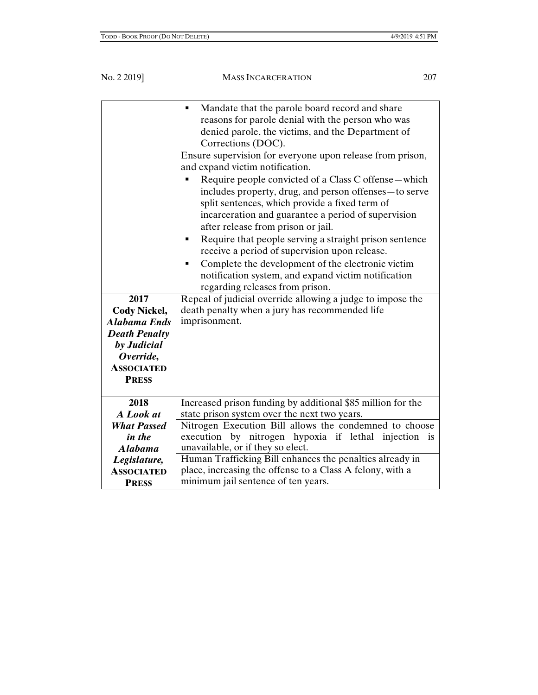| 2017<br><b>Cody Nickel,</b>                 | Mandate that the parole board record and share<br>٠<br>reasons for parole denial with the person who was<br>denied parole, the victims, and the Department of<br>Corrections (DOC).<br>Ensure supervision for everyone upon release from prison,<br>and expand victim notification.<br>Require people convicted of a Class C offense—which<br>includes property, drug, and person offenses — to serve<br>split sentences, which provide a fixed term of<br>incarceration and guarantee a period of supervision<br>after release from prison or jail.<br>Require that people serving a straight prison sentence<br>٠<br>receive a period of supervision upon release.<br>Complete the development of the electronic victim<br>notification system, and expand victim notification<br>regarding releases from prison.<br>Repeal of judicial override allowing a judge to impose the<br>death penalty when a jury has recommended life |
|---------------------------------------------|-------------------------------------------------------------------------------------------------------------------------------------------------------------------------------------------------------------------------------------------------------------------------------------------------------------------------------------------------------------------------------------------------------------------------------------------------------------------------------------------------------------------------------------------------------------------------------------------------------------------------------------------------------------------------------------------------------------------------------------------------------------------------------------------------------------------------------------------------------------------------------------------------------------------------------------|
| <b>Alabama Ends</b><br><b>Death Penalty</b> | imprisonment.                                                                                                                                                                                                                                                                                                                                                                                                                                                                                                                                                                                                                                                                                                                                                                                                                                                                                                                       |
| by Judicial                                 |                                                                                                                                                                                                                                                                                                                                                                                                                                                                                                                                                                                                                                                                                                                                                                                                                                                                                                                                     |
| Override,<br><b>ASSOCIATED</b>              |                                                                                                                                                                                                                                                                                                                                                                                                                                                                                                                                                                                                                                                                                                                                                                                                                                                                                                                                     |
| <b>PRESS</b>                                |                                                                                                                                                                                                                                                                                                                                                                                                                                                                                                                                                                                                                                                                                                                                                                                                                                                                                                                                     |
| 2018                                        | Increased prison funding by additional \$85 million for the                                                                                                                                                                                                                                                                                                                                                                                                                                                                                                                                                                                                                                                                                                                                                                                                                                                                         |
| A Look at                                   | state prison system over the next two years.                                                                                                                                                                                                                                                                                                                                                                                                                                                                                                                                                                                                                                                                                                                                                                                                                                                                                        |
| <b>What Passed</b>                          | Nitrogen Execution Bill allows the condemned to choose                                                                                                                                                                                                                                                                                                                                                                                                                                                                                                                                                                                                                                                                                                                                                                                                                                                                              |
| in the<br><b>Alabama</b>                    | execution by nitrogen hypoxia if lethal injection is<br>unavailable, or if they so elect.                                                                                                                                                                                                                                                                                                                                                                                                                                                                                                                                                                                                                                                                                                                                                                                                                                           |
|                                             | Human Trafficking Bill enhances the penalties already in                                                                                                                                                                                                                                                                                                                                                                                                                                                                                                                                                                                                                                                                                                                                                                                                                                                                            |
| Legislature,<br><b>ASSOCIATED</b>           | place, increasing the offense to a Class A felony, with a                                                                                                                                                                                                                                                                                                                                                                                                                                                                                                                                                                                                                                                                                                                                                                                                                                                                           |
| <b>PRESS</b>                                | minimum jail sentence of ten years.                                                                                                                                                                                                                                                                                                                                                                                                                                                                                                                                                                                                                                                                                                                                                                                                                                                                                                 |
|                                             |                                                                                                                                                                                                                                                                                                                                                                                                                                                                                                                                                                                                                                                                                                                                                                                                                                                                                                                                     |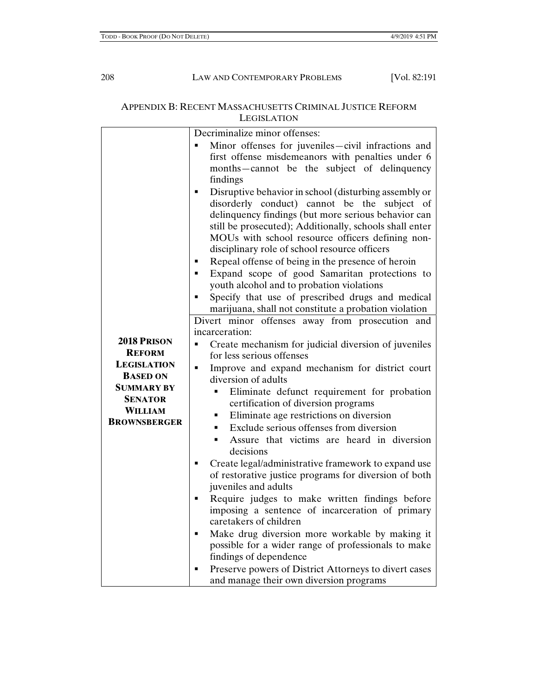# APPENDIX B: RECENT MASSACHUSETTS CRIMINAL JUSTICE REFORM **LEGISLATION**

|                     | Decriminalize minor offenses:                                                                            |
|---------------------|----------------------------------------------------------------------------------------------------------|
|                     | Minor offenses for juveniles-civil infractions and                                                       |
|                     | first offense misdemeanors with penalties under 6                                                        |
|                     | months-cannot be the subject of delinquency                                                              |
|                     | findings                                                                                                 |
|                     | Disruptive behavior in school (disturbing assembly or<br>٠                                               |
|                     | disorderly conduct) cannot be the subject of                                                             |
|                     | delinquency findings (but more serious behavior can                                                      |
|                     | still be prosecuted); Additionally, schools shall enter                                                  |
|                     | MOUs with school resource officers defining non-                                                         |
|                     | disciplinary role of school resource officers                                                            |
|                     | Repeal offense of being in the presence of heroin<br>٠                                                   |
|                     | Expand scope of good Samaritan protections to<br>٠                                                       |
|                     | youth alcohol and to probation violations                                                                |
|                     | Specify that use of prescribed drugs and medical<br>٠                                                    |
|                     | marijuana, shall not constitute a probation violation<br>Divert minor offenses away from prosecution and |
|                     | incarceration:                                                                                           |
| 2018 PRISON         | Create mechanism for judicial diversion of juveniles<br>п                                                |
| <b>REFORM</b>       | for less serious offenses                                                                                |
| <b>LEGISLATION</b>  | Improve and expand mechanism for district court<br>٠                                                     |
| <b>BASED ON</b>     | diversion of adults                                                                                      |
| <b>SUMMARY BY</b>   | Eliminate defunct requirement for probation<br>٠                                                         |
| <b>SENATOR</b>      | certification of diversion programs                                                                      |
| <b>WILLIAM</b>      | Eliminate age restrictions on diversion<br>٠                                                             |
| <b>BROWNSBERGER</b> | Exclude serious offenses from diversion<br>٠                                                             |
|                     | Assure that victims are heard in diversion<br>Ē.                                                         |
|                     | decisions                                                                                                |
|                     | Create legal/administrative framework to expand use<br>п                                                 |
|                     | of restorative justice programs for diversion of both                                                    |
|                     | juveniles and adults                                                                                     |
|                     | Require judges to make written findings before<br>٠                                                      |
|                     | imposing a sentence of incarceration of primary                                                          |
|                     | caretakers of children                                                                                   |
|                     | Make drug diversion more workable by making it<br>٠                                                      |
|                     | possible for a wider range of professionals to make                                                      |
|                     | findings of dependence                                                                                   |
|                     | Preserve powers of District Attorneys to divert cases                                                    |
|                     | and manage their own diversion programs                                                                  |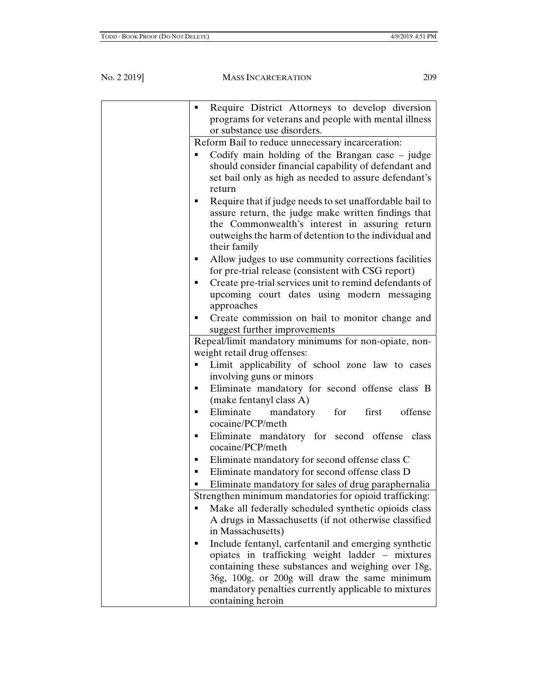| Require District Attorneys to develop diversion<br>п         |
|--------------------------------------------------------------|
| programs for veterans and people with mental illness         |
| or substance use disorders.                                  |
| Reform Bail to reduce unnecessary incarceration:             |
| Codify main holding of the Brangan case - judge              |
| should consider financial capability of defendant and        |
| set bail only as high as needed to assure defendant's        |
| return                                                       |
| Require that if judge needs to set unaffordable bail to<br>٠ |
| assure return, the judge make written findings that          |
| the Commonwealth's interest in assuring return               |
| outweighs the harm of detention to the individual and        |
| their family                                                 |
| Allow judges to use community corrections facilities<br>٠    |
| for pre-trial release (consistent with CSG report)           |
| Create pre-trial services unit to remind defendants of<br>٠  |
| upcoming court dates using modern messaging                  |
| approaches                                                   |
| Create commission on bail to monitor change and              |
| suggest further improvements                                 |
| Repeal/limit mandatory minimums for non-opiate, non-         |
| weight retail drug offenses:                                 |
| Limit applicability of school zone law to cases<br>٠         |
| involving guns or minors                                     |
| Eliminate mandatory for second offense class B<br>٠          |
| (make fentanyl class A)                                      |
| Eliminate mandatory for<br>first<br>offense<br>٠             |
| cocaine/PCP/meth                                             |
| Eliminate mandatory for second offense class<br>٠            |
| cocaine/PCP/meth                                             |
| Eliminate mandatory for second offense class C               |
| Eliminate mandatory for second offense class D<br>٠          |
| Eliminate mandatory for sales of drug paraphernalia<br>٠     |
| Strengthen minimum mandatories for opioid trafficking:       |
| Make all federally scheduled synthetic opioids class         |
| A drugs in Massachusetts (if not otherwise classified        |
| in Massachusetts)                                            |
| Include fentanyl, carfentanil and emerging synthetic         |
| opiates in trafficking weight ladder - mixtures              |
| containing these substances and weighing over 18g,           |
| 36g, 100g, or 200g will draw the same minimum                |
| mandatory penalties currently applicable to mixtures         |
| containing heroin                                            |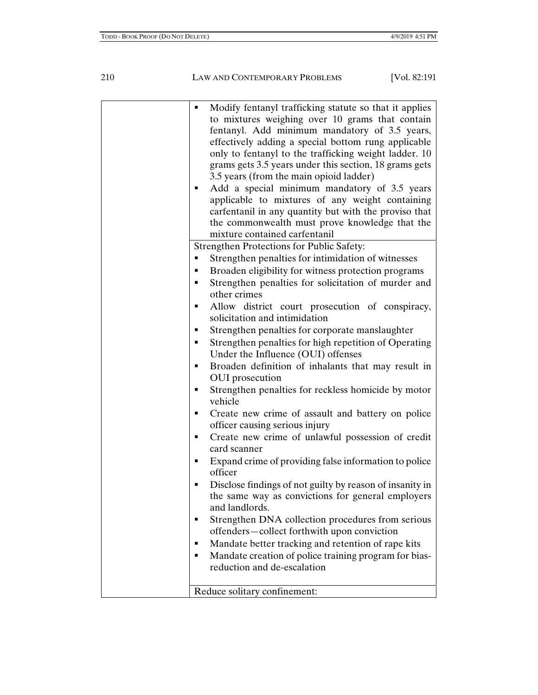| ٠ | Modify fentanyl trafficking statute so that it applies<br>to mixtures weighing over 10 grams that contain<br>fentanyl. Add minimum mandatory of 3.5 years,<br>effectively adding a special bottom rung applicable<br>only to fentanyl to the trafficking weight ladder. 10<br>grams gets 3.5 years under this section, 18 grams gets<br>3.5 years (from the main opioid ladder)<br>Add a special minimum mandatory of 3.5 years<br>applicable to mixtures of any weight containing<br>carfentanil in any quantity but with the proviso that<br>the commonwealth must prove knowledge that the |
|---|-----------------------------------------------------------------------------------------------------------------------------------------------------------------------------------------------------------------------------------------------------------------------------------------------------------------------------------------------------------------------------------------------------------------------------------------------------------------------------------------------------------------------------------------------------------------------------------------------|
|   | mixture contained carfentanil                                                                                                                                                                                                                                                                                                                                                                                                                                                                                                                                                                 |
|   | <b>Strengthen Protections for Public Safety:</b>                                                                                                                                                                                                                                                                                                                                                                                                                                                                                                                                              |
| ٠ | Strengthen penalties for intimidation of witnesses                                                                                                                                                                                                                                                                                                                                                                                                                                                                                                                                            |
| ٠ | Broaden eligibility for witness protection programs                                                                                                                                                                                                                                                                                                                                                                                                                                                                                                                                           |
| ٠ | Strengthen penalties for solicitation of murder and<br>other crimes                                                                                                                                                                                                                                                                                                                                                                                                                                                                                                                           |
| ٠ | Allow district court prosecution of conspiracy,<br>solicitation and intimidation                                                                                                                                                                                                                                                                                                                                                                                                                                                                                                              |
|   | Strengthen penalties for corporate manslaughter                                                                                                                                                                                                                                                                                                                                                                                                                                                                                                                                               |
|   | Strengthen penalties for high repetition of Operating<br>Under the Influence (OUI) offenses                                                                                                                                                                                                                                                                                                                                                                                                                                                                                                   |
|   | Broaden definition of inhalants that may result in<br>OUI prosecution                                                                                                                                                                                                                                                                                                                                                                                                                                                                                                                         |
| п | Strengthen penalties for reckless homicide by motor<br>vehicle                                                                                                                                                                                                                                                                                                                                                                                                                                                                                                                                |
|   | Create new crime of assault and battery on police<br>officer causing serious injury                                                                                                                                                                                                                                                                                                                                                                                                                                                                                                           |
|   | Create new crime of unlawful possession of credit<br>card scanner                                                                                                                                                                                                                                                                                                                                                                                                                                                                                                                             |
|   | Expand crime of providing false information to police<br>officer                                                                                                                                                                                                                                                                                                                                                                                                                                                                                                                              |
|   | Disclose findings of not guilty by reason of insanity in<br>the same way as convictions for general employers<br>and landlords.                                                                                                                                                                                                                                                                                                                                                                                                                                                               |
|   | Strengthen DNA collection procedures from serious<br>offenders-collect forthwith upon conviction                                                                                                                                                                                                                                                                                                                                                                                                                                                                                              |
| п | Mandate better tracking and retention of rape kits                                                                                                                                                                                                                                                                                                                                                                                                                                                                                                                                            |
|   | Mandate creation of police training program for bias-<br>reduction and de-escalation                                                                                                                                                                                                                                                                                                                                                                                                                                                                                                          |
|   | Reduce solitary confinement:                                                                                                                                                                                                                                                                                                                                                                                                                                                                                                                                                                  |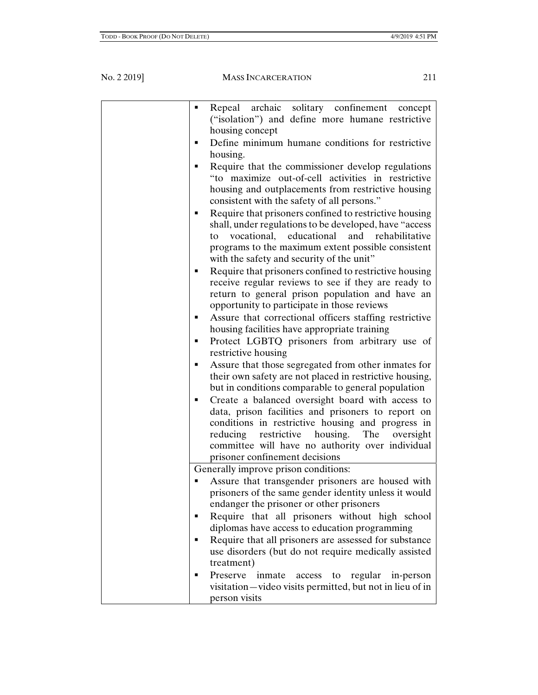| Repeal archaic solitary confinement concept<br>٠                                                                                                                                                                                                                                 |
|----------------------------------------------------------------------------------------------------------------------------------------------------------------------------------------------------------------------------------------------------------------------------------|
| ("isolation") and define more humane restrictive<br>housing concept                                                                                                                                                                                                              |
| Define minimum humane conditions for restrictive<br>п                                                                                                                                                                                                                            |
| housing.                                                                                                                                                                                                                                                                         |
| Require that the commissioner develop regulations                                                                                                                                                                                                                                |
| "to maximize out-of-cell activities in restrictive                                                                                                                                                                                                                               |
| housing and outplacements from restrictive housing<br>consistent with the safety of all persons."                                                                                                                                                                                |
| Require that prisoners confined to restrictive housing<br>shall, under regulations to be developed, have "access<br>vocational,<br>educational<br>and<br>rehabilitative<br>to<br>programs to the maximum extent possible consistent<br>with the safety and security of the unit" |
| Require that prisoners confined to restrictive housing<br>п<br>receive regular reviews to see if they are ready to<br>return to general prison population and have an<br>opportunity to participate in those reviews                                                             |
| Assure that correctional officers staffing restrictive                                                                                                                                                                                                                           |
| housing facilities have appropriate training                                                                                                                                                                                                                                     |
| Protect LGBTQ prisoners from arbitrary use of<br>٠<br>restrictive housing                                                                                                                                                                                                        |
| Assure that those segregated from other inmates for<br>п                                                                                                                                                                                                                         |
| their own safety are not placed in restrictive housing,<br>but in conditions comparable to general population                                                                                                                                                                    |
| Create a balanced oversight board with access to                                                                                                                                                                                                                                 |
| data, prison facilities and prisoners to report on                                                                                                                                                                                                                               |
| conditions in restrictive housing and progress in                                                                                                                                                                                                                                |
| reducing restrictive housing. The oversight                                                                                                                                                                                                                                      |
| committee will have no authority over individual                                                                                                                                                                                                                                 |
| prisoner confinement decisions                                                                                                                                                                                                                                                   |
| Generally improve prison conditions:                                                                                                                                                                                                                                             |
| Assure that transgender prisoners are housed with<br>prisoners of the same gender identity unless it would                                                                                                                                                                       |
| endanger the prisoner or other prisoners                                                                                                                                                                                                                                         |
| Require that all prisoners without high school<br>diplomas have access to education programming                                                                                                                                                                                  |
| Require that all prisoners are assessed for substance                                                                                                                                                                                                                            |
| use disorders (but do not require medically assisted                                                                                                                                                                                                                             |
| treatment)                                                                                                                                                                                                                                                                       |
| Preserve inmate<br>access to regular in-person                                                                                                                                                                                                                                   |
| visitation—video visits permitted, but not in lieu of in<br>person visits                                                                                                                                                                                                        |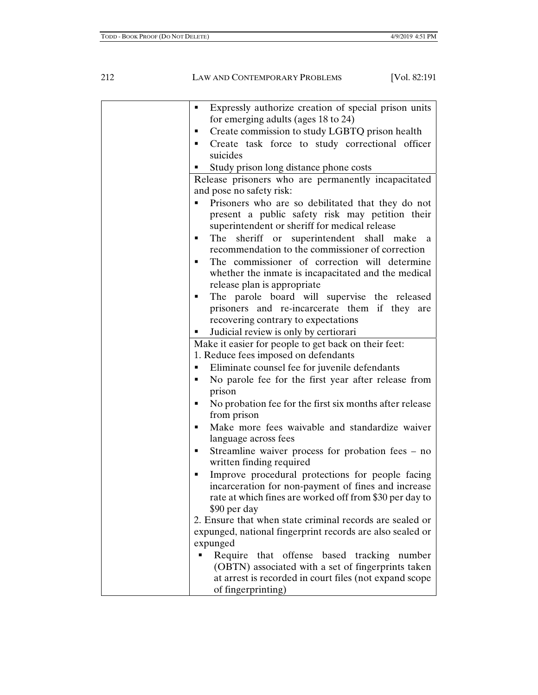| Expressly authorize creation of special prison units<br>٠    |
|--------------------------------------------------------------|
| for emerging adults (ages 18 to 24)                          |
| Create commission to study LGBTQ prison health               |
| Create task force to study correctional officer              |
| suicides                                                     |
| Study prison long distance phone costs                       |
| Release prisoners who are permanently incapacitated          |
| and pose no safety risk:                                     |
| Prisoners who are so debilitated that they do not            |
| present a public safety risk may petition their              |
| superintendent or sheriff for medical release                |
| sheriff or superintendent shall make a<br>The<br>٠           |
| recommendation to the commissioner of correction             |
| The commissioner of correction will determine<br>٠           |
| whether the inmate is incapacitated and the medical          |
| release plan is appropriate                                  |
| The parole board will supervise the released<br>٠            |
| prisoners and re-incarcerate them if they are                |
| recovering contrary to expectations                          |
| Judicial review is only by certiorari                        |
| Make it easier for people to get back on their feet:         |
| 1. Reduce fees imposed on defendants                         |
| Eliminate counsel fee for juvenile defendants                |
| No parole fee for the first year after release from          |
| prison                                                       |
| No probation fee for the first six months after release<br>٠ |
| from prison                                                  |
| Make more fees waivable and standardize waiver               |
| language across fees                                         |
| Streamline waiver process for probation fees $-$ no<br>٠     |
| written finding required                                     |
| Improve procedural protections for people facing<br>٠        |
| incarceration for non-payment of fines and increase          |
| rate at which fines are worked off from \$30 per day to      |
| \$90 per day                                                 |
| 2. Ensure that when state criminal records are sealed or     |
| expunged, national fingerprint records are also sealed or    |
| expunged                                                     |
| Require that offense based tracking number                   |
| (OBTN) associated with a set of fingerprints taken           |
| at arrest is recorded in court files (not expand scope       |
| of fingerprinting)                                           |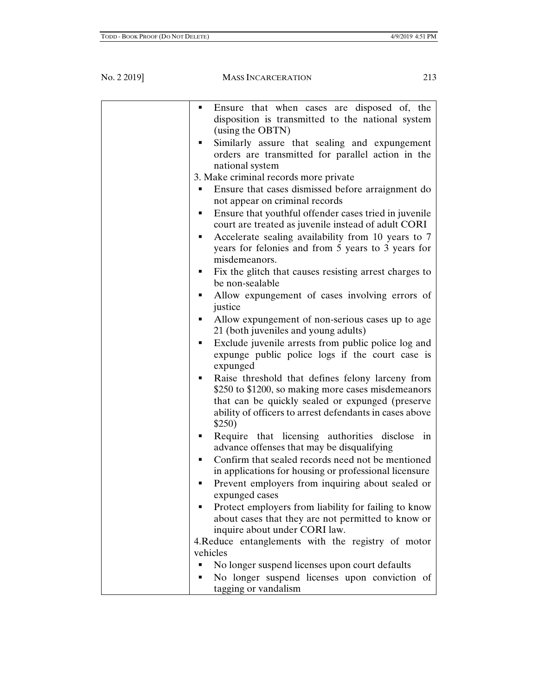| Ensure that when cases are disposed of, the<br>٠            |
|-------------------------------------------------------------|
| disposition is transmitted to the national system           |
| (using the OBTN)                                            |
|                                                             |
| Similarly assure that sealing and expungement               |
| orders are transmitted for parallel action in the           |
| national system                                             |
| 3. Make criminal records more private                       |
| Ensure that cases dismissed before arraignment do<br>п      |
| not appear on criminal records                              |
| Ensure that youthful offender cases tried in juvenile<br>п  |
| court are treated as juvenile instead of adult CORI         |
| Accelerate sealing availability from 10 years to 7<br>٠     |
| years for felonies and from 5 years to 3 years for          |
| misdemeanors.                                               |
| Fix the glitch that causes resisting arrest charges to<br>٠ |
| be non-sealable                                             |
| Allow expungement of cases involving errors of<br>٠         |
| justice                                                     |
| Allow expungement of non-serious cases up to age            |
| 21 (both juveniles and young adults)                        |
| Exclude juvenile arrests from public police log and         |
| expunge public police logs if the court case is             |
|                                                             |
| expunged                                                    |
| Raise threshold that defines felony larceny from<br>٠       |
| \$250 to \$1200, so making more cases misdemeanors          |
| that can be quickly sealed or expunged (preserve            |
| ability of officers to arrest defendants in cases above     |
| \$250)                                                      |
| Require that licensing authorities disclose in<br>٠         |
| advance offenses that may be disqualifying                  |
| Confirm that sealed records need not be mentioned           |
| in applications for housing or professional licensure       |
|                                                             |
| Prevent employers from inquiring about sealed or<br>٠       |
| expunged cases                                              |
| Protect employers from liability for failing to know        |
| about cases that they are not permitted to know or          |
| inquire about under CORI law.                               |
| 4. Reduce entanglements with the registry of motor          |
| vehicles                                                    |
| No longer suspend licenses upon court defaults<br>Ξ         |
| No longer suspend licenses upon conviction of               |
|                                                             |
| tagging or vandalism                                        |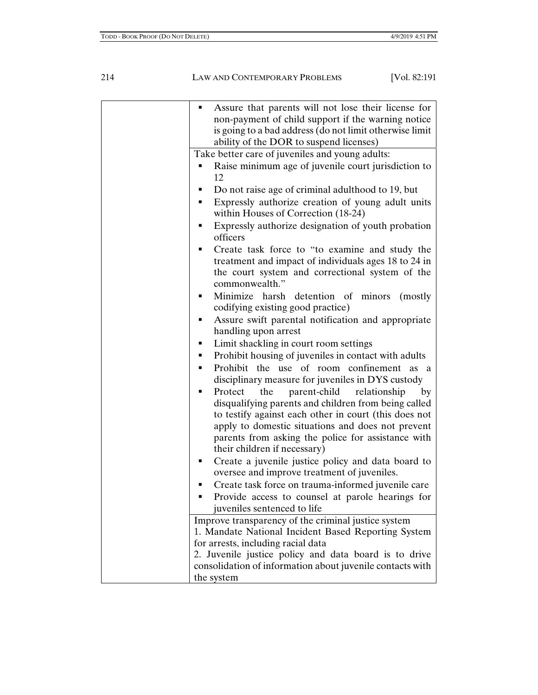| ٠ | Assure that parents will not lose their license for                                            |
|---|------------------------------------------------------------------------------------------------|
|   | non-payment of child support if the warning notice                                             |
|   | is going to a bad address (do not limit otherwise limit                                        |
|   | ability of the DOR to suspend licenses)                                                        |
|   | Take better care of juveniles and young adults:                                                |
|   | Raise minimum age of juvenile court jurisdiction to                                            |
|   | 12                                                                                             |
| п | Do not raise age of criminal adulthood to 19, but                                              |
| ٠ | Expressly authorize creation of young adult units                                              |
|   | within Houses of Correction (18-24)                                                            |
| п | Expressly authorize designation of youth probation<br>officers                                 |
| ▪ | Create task force to "to examine and study the                                                 |
|   | treatment and impact of individuals ages 18 to 24 in                                           |
|   | the court system and correctional system of the                                                |
|   | commonwealth."                                                                                 |
|   | Minimize harsh detention of minors<br>(mostly)                                                 |
|   | codifying existing good practice)                                                              |
|   | Assure swift parental notification and appropriate                                             |
|   | handling upon arrest                                                                           |
| п | Limit shackling in court room settings                                                         |
| ٠ | Prohibit housing of juveniles in contact with adults                                           |
|   |                                                                                                |
| ٠ | Prohibit the use of room confinement as a<br>disciplinary measure for juveniles in DYS custody |
| ٠ | parent-child<br>Protect<br>the<br>relationship<br>by                                           |
|   | disqualifying parents and children from being called                                           |
|   | to testify against each other in court (this does not                                          |
|   | apply to domestic situations and does not prevent                                              |
|   | parents from asking the police for assistance with                                             |
|   | their children if necessary)                                                                   |
|   |                                                                                                |
| п | Create a juvenile justice policy and data board to                                             |
|   | oversee and improve treatment of juveniles.                                                    |
| ٠ | Create task force on trauma-informed juvenile care                                             |
| ▪ | Provide access to counsel at parole hearings for                                               |
|   | juveniles sentenced to life                                                                    |
|   | Improve transparency of the criminal justice system                                            |
|   | 1. Mandate National Incident Based Reporting System                                            |
|   | for arrests, including racial data                                                             |
|   | 2. Juvenile justice policy and data board is to drive                                          |
|   | consolidation of information about juvenile contacts with                                      |
|   | the system                                                                                     |